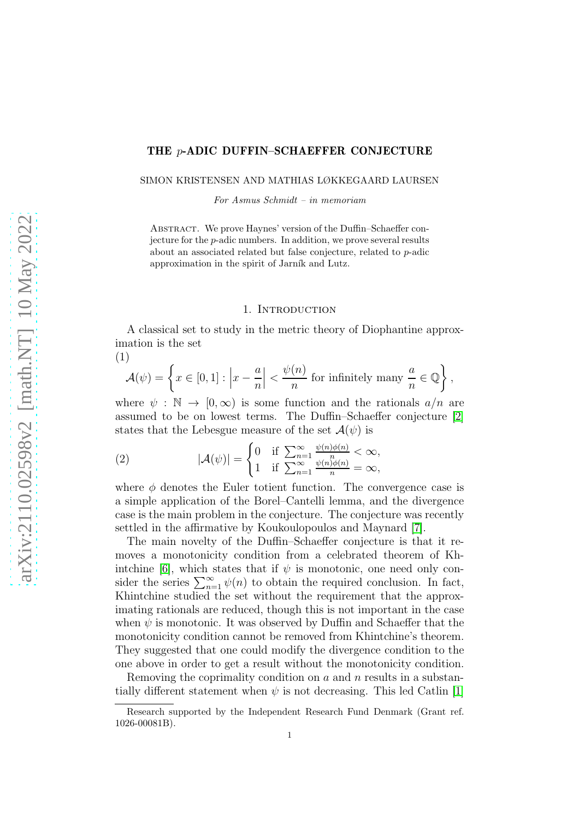### THE p-ADIC DUFFIN–SCHAEFFER CONJECTURE

SIMON KRISTENSEN AND MATHIAS LØKKEGAARD LAURSEN

For Asmus Schmidt – in memoriam

ABSTRACT. We prove Haynes' version of the Duffin–Schaeffer conjecture for the p-adic numbers. In addition, we prove several results about an associated related but false conjecture, related to p-adic approximation in the spirit of Jarník and Lutz.

## 1. INTRODUCTION

A classical set to study in the metric theory of Diophantine approximation is the set

$$
\mathcal{A}(\psi) = \left\{ x \in [0,1] : \left| x - \frac{a}{n} \right| < \frac{\psi(n)}{n} \text{ for infinitely many } \frac{a}{n} \in \mathbb{Q} \right\},
$$

where  $\psi : \mathbb{N} \to [0, \infty)$  is some function and the rationals  $a/n$  are assumed to be on lowest terms. The Duffin–Schaeffer conjecture [\[2\]](#page-12-0) states that the Lebesgue measure of the set  $\mathcal{A}(\psi)$  is

(2) 
$$
|\mathcal{A}(\psi)| = \begin{cases} 0 & \text{if } \sum_{n=1}^{\infty} \frac{\psi(n)\phi(n)}{n} < \infty, \\ 1 & \text{if } \sum_{n=1}^{\infty} \frac{\psi(n)\phi(n)}{n} = \infty, \end{cases}
$$

where  $\phi$  denotes the Euler totient function. The convergence case is a simple application of the Borel–Cantelli lemma, and the divergence case is the main problem in the conjecture. The conjecture was recently settled in the affirmative by Koukoulopoulos and Maynard [\[7\]](#page-13-0).

The main novelty of the Duffin–Schaeffer conjecture is that it removes a monotonicity condition from a celebrated theorem of Kh-intchine [\[6\]](#page-13-1), which states that if  $\psi$  is monotonic, one need only consider the series  $\sum_{n=1}^{\infty} \psi(n)$  to obtain the required conclusion. In fact, Khintchine studied the set without the requirement that the approximating rationals are reduced, though this is not important in the case when  $\psi$  is monotonic. It was observed by Duffin and Schaeffer that the monotonicity condition cannot be removed from Khintchine's theorem. They suggested that one could modify the divergence condition to the one above in order to get a result without the monotonicity condition.

Removing the coprimality condition on  $a$  and  $n$  results in a substantially different statement when  $\psi$  is not decreasing. This led Catlin [\[1\]](#page-12-1)

(1)

Research supported by the Independent Research Fund Denmark (Grant ref. 1026-00081B).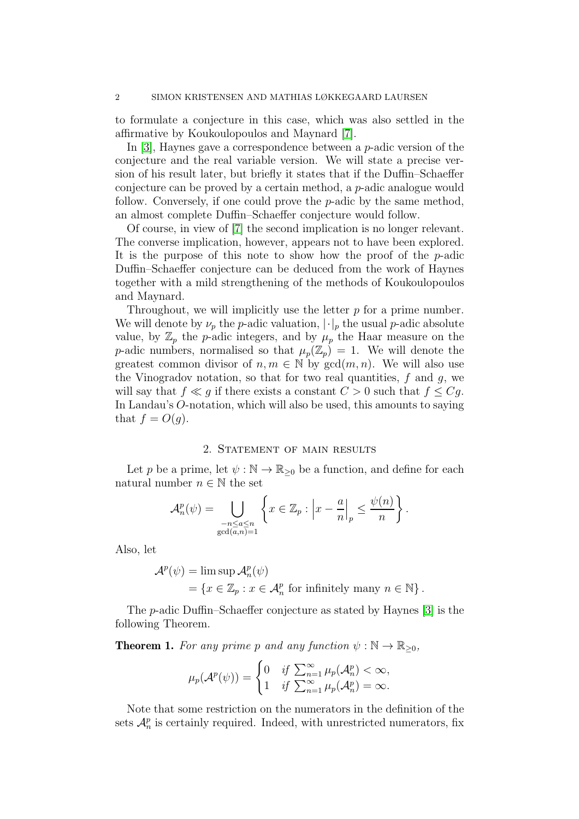to formulate a conjecture in this case, which was also settled in the affirmative by Koukoulopoulos and Maynard [\[7\]](#page-13-0).

In [\[3\]](#page-12-2), Haynes gave a correspondence between a p-adic version of the conjecture and the real variable version. We will state a precise version of his result later, but briefly it states that if the Duffin–Schaeffer conjecture can be proved by a certain method, a p-adic analogue would follow. Conversely, if one could prove the p-adic by the same method, an almost complete Duffin–Schaeffer conjecture would follow.

Of course, in view of [\[7\]](#page-13-0) the second implication is no longer relevant. The converse implication, however, appears not to have been explored. It is the purpose of this note to show how the proof of the p-adic Duffin–Schaeffer conjecture can be deduced from the work of Haynes together with a mild strengthening of the methods of Koukoulopoulos and Maynard.

Throughout, we will implicitly use the letter  $p$  for a prime number. We will denote by  $\nu_p$  the p-adic valuation,  $|\cdot|_p$  the usual p-adic absolute value, by  $\mathbb{Z}_p$  the p-adic integers, and by  $\mu_p$  the Haar measure on the p-adic numbers, normalised so that  $\mu_p(\mathbb{Z}_p) = 1$ . We will denote the greatest common divisor of  $n, m \in \mathbb{N}$  by  $gcd(m, n)$ . We will also use the Vinogradov notation, so that for two real quantities,  $f$  and  $q$ , we will say that  $f \ll g$  if there exists a constant  $C > 0$  such that  $f \leq Cg$ . In Landau's O-notation, which will also be used, this amounts to saying that  $f = O(g)$ .

# 2. STATEMENT OF MAIN RESULTS

Let p be a prime, let  $\psi : \mathbb{N} \to \mathbb{R}_{\geq 0}$  be a function, and define for each natural number  $n \in \mathbb{N}$  the set

$$
\mathcal{A}_n^p(\psi) = \bigcup_{\substack{-n \le a \le n \\ \gcd(a,n)=1}} \left\{ x \in \mathbb{Z}_p : \left| x - \frac{a}{n} \right|_p \le \frac{\psi(n)}{n} \right\}.
$$

Also, let

$$
\mathcal{A}^p(\psi) = \limsup \mathcal{A}^p_n(\psi)
$$
  
=  $\{x \in \mathbb{Z}_p : x \in \mathcal{A}^p_n \text{ for infinitely many } n \in \mathbb{N}\}.$ 

The p-adic Duffin–Schaeffer conjecture as stated by Haynes [\[3\]](#page-12-2) is the following Theorem.

<span id="page-1-0"></span>**Theorem 1.** For any prime p and any function  $\psi : \mathbb{N} \to \mathbb{R}_{\geq 0}$ ,

$$
\mu_p(\mathcal{A}^p(\psi)) = \begin{cases} 0 & \text{if } \sum_{n=1}^{\infty} \mu_p(\mathcal{A}^p_n) < \infty, \\ 1 & \text{if } \sum_{n=1}^{\infty} \mu_p(\mathcal{A}^p_n) = \infty. \end{cases}
$$

Note that some restriction on the numerators in the definition of the sets  $\mathcal{A}_n^p$  is certainly required. Indeed, with unrestricted numerators, fix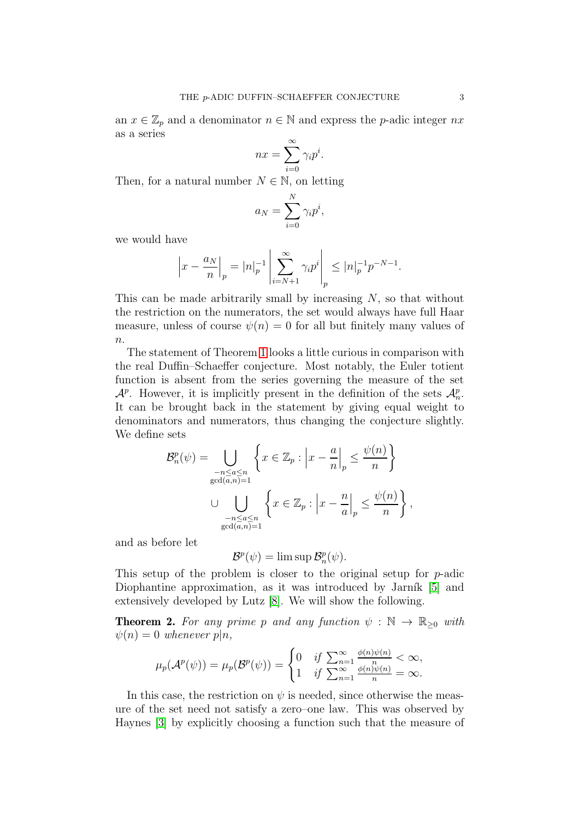an  $x \in \mathbb{Z}_p$  and a denominator  $n \in \mathbb{N}$  and express the p-adic integer  $nx$ as a series

$$
nx = \sum_{i=0}^{\infty} \gamma_i p^i.
$$

Then, for a natural number  $N \in \mathbb{N}$ , on letting

$$
a_N = \sum_{i=0}^N \gamma_i p^i,
$$

we would have

$$
\left|x - \frac{a_N}{n}\right|_p = |n|_p^{-1} \left| \sum_{i=N+1}^{\infty} \gamma_i p^i \right|_p \le |n|_p^{-1} p^{-N-1}.
$$

This can be made arbitrarily small by increasing  $N$ , so that without the restriction on the numerators, the set would always have full Haar measure, unless of course  $\psi(n) = 0$  for all but finitely many values of  $n$ .

The statement of Theorem [1](#page-1-0) looks a little curious in comparison with the real Duffin–Schaeffer conjecture. Most notably, the Euler totient function is absent from the series governing the measure of the set  $\mathcal{A}^p$ . However, it is implicitly present in the definition of the sets  $\mathcal{A}_n^p$ . It can be brought back in the statement by giving equal weight to denominators and numerators, thus changing the conjecture slightly. We define sets

$$
\mathcal{B}_n^p(\psi) = \bigcup_{\substack{-n \le a \le n \\ \gcd(a,n)=1}} \left\{ x \in \mathbb{Z}_p : \left| x - \frac{a}{n} \right|_p \le \frac{\psi(n)}{n} \right\}
$$

$$
\cup \bigcup_{\substack{-n \le a \le n \\ \gcd(a,n)=1}} \left\{ x \in \mathbb{Z}_p : \left| x - \frac{n}{a} \right|_p \le \frac{\psi(n)}{n} \right\},
$$

and as before let

$$
\mathcal{B}^p(\psi) = \limsup \mathcal{B}_n^p(\psi).
$$

This setup of the problem is closer to the original setup for p-adic Diophantine approximation, as it was introduced by Jarník [\[5\]](#page-12-3) and extensively developed by Lutz [\[8\]](#page-13-2). We will show the following.

<span id="page-2-0"></span>**Theorem 2.** For any prime p and any function  $\psi : \mathbb{N} \to \mathbb{R}_{\geq 0}$  with  $\psi(n) = 0$  whenever  $p|n$ ,

$$
\mu_p(\mathcal{A}^p(\psi)) = \mu_p(\mathcal{B}^p(\psi)) = \begin{cases} 0 & \text{if } \sum_{n=1}^{\infty} \frac{\phi(n)\psi(n)}{n} < \infty, \\ 1 & \text{if } \sum_{n=1}^{\infty} \frac{\phi(n)\psi(n)}{n} = \infty. \end{cases}
$$

In this case, the restriction on  $\psi$  is needed, since otherwise the measure of the set need not satisfy a zero–one law. This was observed by Haynes [\[3\]](#page-12-2) by explicitly choosing a function such that the measure of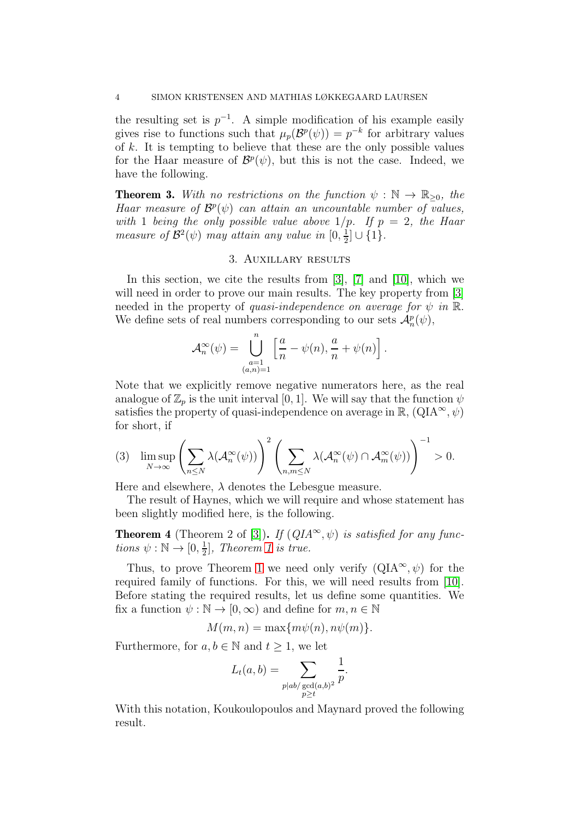the resulting set is  $p^{-1}$ . A simple modification of his example easily gives rise to functions such that  $\mu_p(\mathcal{B}^p(\psi)) = p^{-k}$  for arbitrary values of  $k$ . It is tempting to believe that these are the only possible values for the Haar measure of  $\mathcal{B}^p(\psi)$ , but this is not the case. Indeed, we have the following.

<span id="page-3-1"></span>**Theorem 3.** With no restrictions on the function  $\psi : \mathbb{N} \to \mathbb{R}_{\geq 0}$ , the Haar measure of  $\mathcal{B}^p(\psi)$  can attain an uncountable number of values, with 1 being the only possible value above  $1/p$ . If  $p = 2$ , the Haar measure of  $\mathcal{B}^2(\psi)$  may attain any value in  $[0, \frac{1}{2}]$  $\frac{1}{2}]\cup\{1\}.$ 

## 3. Auxillary results

In this section, we cite the results from [\[3\]](#page-12-2), [\[7\]](#page-13-0) and [\[10\]](#page-13-3), which we will need in order to prove our main results. The key property from [\[3\]](#page-12-2) needed in the property of quasi-independence on average for  $\psi$  in  $\mathbb{R}$ . We define sets of real numbers corresponding to our sets  $\mathcal{A}_n^p(\psi)$ ,

$$
\mathcal{A}_n^{\infty}(\psi) = \bigcup_{\substack{a=1 \ (a,n)=1}}^n \left[ \frac{a}{n} - \psi(n), \frac{a}{n} + \psi(n) \right].
$$

Note that we explicitly remove negative numerators here, as the real analogue of  $\mathbb{Z}_p$  is the unit interval [0, 1]. We will say that the function  $\psi$ satisfies the property of quasi-independence on average in  $\mathbb{R}$ ,  $(QIA^{\infty}, \psi)$ for short, if

$$
(3) \quad \limsup_{N \to \infty} \left( \sum_{n \leq N} \lambda(\mathcal{A}_n^{\infty}(\psi)) \right)^2 \left( \sum_{n,m \leq N} \lambda(\mathcal{A}_n^{\infty}(\psi) \cap \mathcal{A}_m^{\infty}(\psi)) \right)^{-1} > 0.
$$

Here and elsewhere,  $\lambda$  denotes the Lebesgue measure.

The result of Haynes, which we will require and whose statement has been slightly modified here, is the following.

<span id="page-3-0"></span>**Theorem 4** (Theorem 2 of [\[3\]](#page-12-2)). If  $(QIA^{\infty}, \psi)$  is satisfied for any functions  $\psi : \mathbb{N} \to [0, \frac{1}{2}]$  $\frac{1}{2}$ , Theorem [1](#page-1-0) is true.

Thus, to prove Theorem [1](#page-1-0) we need only verify  $(QIA^{\infty}, \psi)$  for the required family of functions. For this, we will need results from [\[10\]](#page-13-3). Before stating the required results, let us define some quantities. We fix a function  $\psi : \mathbb{N} \to [0, \infty)$  and define for  $m, n \in \mathbb{N}$ 

$$
M(m, n) = \max\{m\psi(n), n\psi(m)\}.
$$

Furthermore, for  $a, b \in \mathbb{N}$  and  $t \geq 1$ , we let

$$
L_t(a,b) = \sum_{\substack{p|ab/\gcd(a,b)^2\\p\geq t}} \frac{1}{p}.
$$

With this notation, Koukoulopoulos and Maynard proved the following result.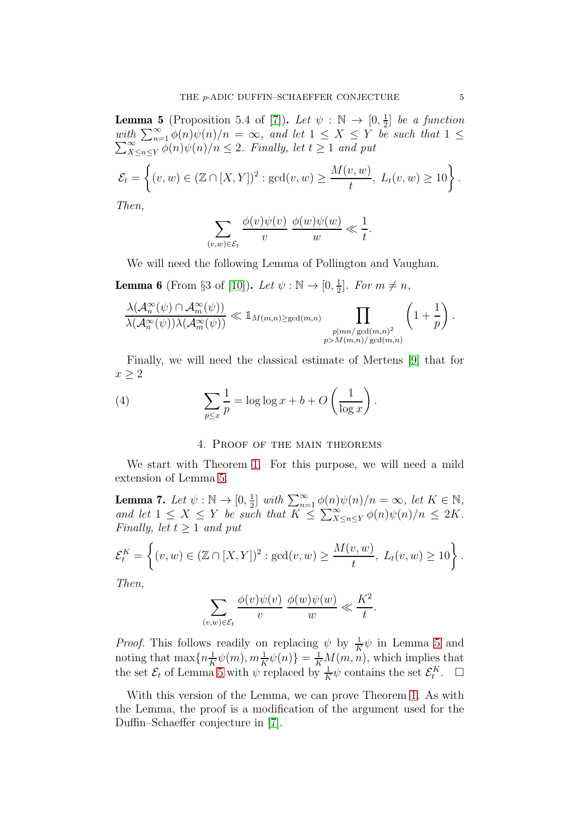<span id="page-4-0"></span>**Lemma 5** (Proposition 5.4 of [\[7\]](#page-13-0)). Let  $\psi : \mathbb{N} \to [0, \frac{1}{2}]$  $\frac{1}{2}$  be a function with  $\sum_{n=1}^{\infty} \phi(n)\psi(n)/n = \infty$ , and let  $1 \leq X \leq Y$  be such that  $1 \leq$  $\sum_{X}^{\infty}$  $\sum_{X \leq n \leq Y}^{\infty} \phi(n)\psi(n)/n \leq 2$ . Finally, let  $t \geq 1$  and put

$$
\mathcal{E}_t = \left\{ (v, w) \in (\mathbb{Z} \cap [X, Y])^2 : \gcd(v, w) \ge \frac{M(v, w)}{t}, \ L_t(v, w) \ge 10 \right\}.
$$

Then,

$$
\sum_{(v,w)\in\mathcal{E}_t} \frac{\phi(v)\psi(v)}{v} \frac{\phi(w)\psi(w)}{w} \ll \frac{1}{t}.
$$

We will need the following Lemma of Pollington and Vaughan.

<span id="page-4-1"></span>**Lemma 6** (From §3 of [\[10\]](#page-13-3)). Let  $\psi : \mathbb{N} \to [0, \frac{1}{2}]$  $\frac{1}{2}$ . For  $m \neq n$ ,

$$
\frac{\lambda(\mathcal{A}_n^{\infty}(\psi) \cap \mathcal{A}_m^{\infty}(\psi))}{\lambda(\mathcal{A}_n^{\infty}(\psi))\lambda(\mathcal{A}_m^{\infty}(\psi))} \ll 1_{M(m,n) \ge \gcd(m,n)} \prod_{\substack{p \mid mn/\gcd(m,n)^2\\p>M(m,n)/\gcd(m,n)}} \left(1 + \frac{1}{p}\right).
$$

Finally, we will need the classical estimate of Mertens [\[9\]](#page-13-4) that for  $x > 2$ 

(4) 
$$
\sum_{p \leq x} \frac{1}{p} = \log \log x + b + O\left(\frac{1}{\log x}\right).
$$

# <span id="page-4-2"></span>4. Proof of the main theorems

We start with Theorem [1.](#page-1-0) For this purpose, we will need a mild extension of Lemma [5.](#page-4-0)

<span id="page-4-3"></span>**Lemma 7.** Let  $\psi : \mathbb{N} \to [0, \frac{1}{2}]$  $\frac{1}{2}$ ] with  $\sum_{n=1}^{\infty} \phi(n)\psi(n)/n = \infty$ , let  $K \in \mathbb{N}$ , and let  $1 \leq X \leq Y$  be such that  $K \leq \sum_{X \leq n \leq Y}^{\infty} \phi(n) \psi(n)/n \leq 2K$ . Finally, let  $t > 1$  and put

$$
\mathcal{E}_t^K = \left\{ (v, w) \in (\mathbb{Z} \cap [X, Y])^2 : \gcd(v, w) \ge \frac{M(v, w)}{t}, \ L_t(v, w) \ge 10 \right\}.
$$

Then,

$$
\sum_{(v,w)\in\mathcal{E}_t} \frac{\phi(v)\psi(v)}{v} \frac{\phi(w)\psi(w)}{w} \ll \frac{K^2}{t}.
$$

*Proof.* This follows readily on replacing  $\psi$  by  $\frac{1}{K}\psi$  in Lemma [5](#page-4-0) and noting that  $\max\{n \frac{1}{K}\psi(m), m \frac{1}{K}\psi(n)\} = \frac{1}{K}M(m, n)$  $\frac{1}{K}\psi(m), m\frac{1}{K}\psi(n)\} = \frac{1}{K}M(m,n)$ , which implies that the set  $\mathcal{E}_t$  of Lemma [5](#page-4-0) with  $\psi$  replaced by  $\frac{1}{K}\psi$  contains the set  $\mathcal{E}_t^K$ .  $\Box$ 

With this version of the Lemma, we can prove Theorem [1.](#page-1-0) As with the Lemma, the proof is a modification of the argument used for the Duffin–Schaeffer conjecture in [\[7\]](#page-13-0).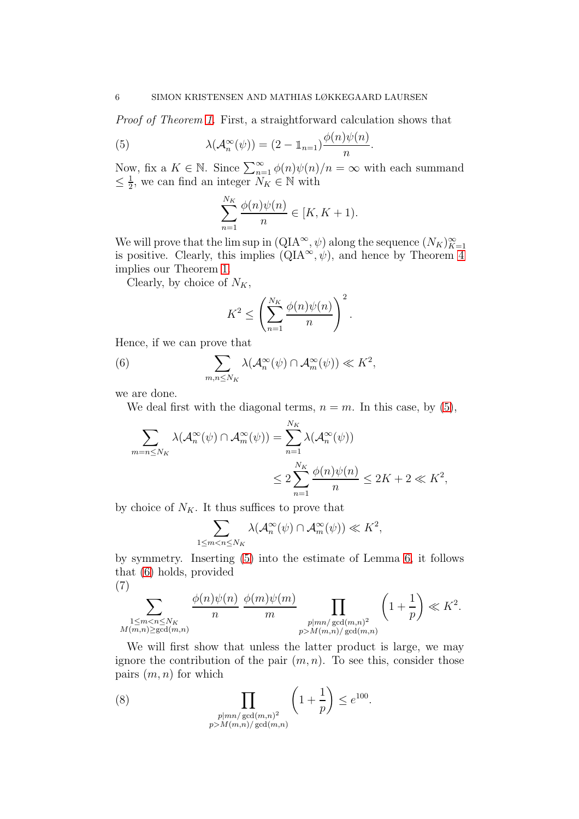Proof of Theorem [1.](#page-1-0) First, a straightforward calculation shows that

(5) 
$$
\lambda(\mathcal{A}_n^{\infty}(\psi)) = (2 - \mathbb{1}_{n=1}) \frac{\phi(n)\psi(n)}{n}.
$$

Now, fix a  $K \in \mathbb{N}$ . Since  $\sum_{n=1}^{\infty} \phi(n)\psi(n)/n = \infty$  with each summand  $\leq \frac{1}{2}$  $\frac{1}{2}$ , we can find an integer  $N_K \in \mathbb{N}$  with

<span id="page-5-0"></span>
$$
\sum_{n=1}^{N_K} \frac{\phi(n)\psi(n)}{n} \in [K, K+1).
$$

We will prove that the lim sup in  $(QIA^{\infty}, \psi)$  along the sequence  $(N_K)_{K=1}^{\infty}$ is positive. Clearly, this implies  $(QIA^{\infty}, \psi)$ , and hence by Theorem [4](#page-3-0) implies our Theorem [1.](#page-1-0)

Clearly, by choice of  $N_K$ ,

<span id="page-5-1"></span>
$$
K^{2} \leq \left(\sum_{n=1}^{N_{K}} \frac{\phi(n)\psi(n)}{n}\right)^{2}.
$$

Hence, if we can prove that

(6) 
$$
\sum_{m,n\leq N_K} \lambda(\mathcal{A}_n^{\infty}(\psi) \cap \mathcal{A}_m^{\infty}(\psi)) \ll K^2,
$$

we are done.

We deal first with the diagonal terms,  $n = m$ . In this case, by [\(5\)](#page-5-0),

$$
\sum_{m=n\leq N_K} \lambda(\mathcal{A}_n^{\infty}(\psi) \cap \mathcal{A}_m^{\infty}(\psi)) = \sum_{n=1}^{N_K} \lambda(\mathcal{A}_n^{\infty}(\psi))
$$
  

$$
\leq 2 \sum_{n=1}^{N_K} \frac{\phi(n)\psi(n)}{n} \leq 2K + 2 \ll K^2,
$$

by choice of  $N_K$ . It thus suffices to prove that

$$
\sum_{1 \le m < n \le N_K} \lambda(\mathcal{A}_n^{\infty}(\psi) \cap \mathcal{A}_m^{\infty}(\psi)) \ll K^2,
$$

by symmetry. Inserting [\(5\)](#page-5-0) into the estimate of Lemma [6,](#page-4-1) it follows that [\(6\)](#page-5-1) holds, provided

$$
(7)
$$

<span id="page-5-3"></span>
$$
\sum_{\substack{1 \le m < n \le N_K \\ M(m,n) \ge \gcd(m,n)}} \frac{\phi(n)\psi(n)}{n} \frac{\phi(m)\psi(m)}{m} \prod_{\substack{p \mid mn/\gcd(m,n)^2 \\ p > M(m,n)/\gcd(m,n)}} \left(1 + \frac{1}{p}\right) \ll K^2.
$$

We will first show that unless the latter product is large, we may ignore the contribution of the pair  $(m, n)$ . To see this, consider those pairs  $(m, n)$  for which

<span id="page-5-2"></span>(8) 
$$
\prod_{\substack{p \mid mn/\gcd(m,n)^2\\p>M(m,n)/\gcd(m,n)}}\left(1+\frac{1}{p}\right) \leq e^{100}.
$$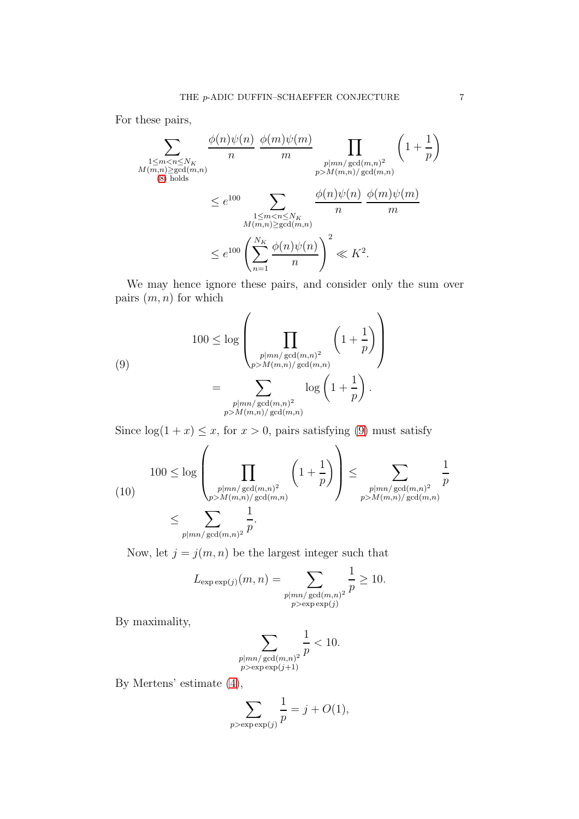For these pairs,

$$
\sum_{\substack{1 \le m < n \le N_K \\ M(m,n) \ge \gcd(m,n) \\ (8) \text{ holds} }} \frac{\phi(n)\psi(n)}{n} \frac{\phi(m)\psi(m)}{m} \prod_{\substack{p \mid mn/\gcd(m,n)^2 \\ p>M(m,n)/\gcd(m,n) \\ \text{gcd}(m,n) \\ n}} \left(1 + \frac{1}{p}\right)
$$
\n
$$
\le e^{100} \sum_{\substack{1 \le m < n \le N_K \\ M(m,n) \ge \gcd(m,n) \\ n}} \frac{\phi(n)\psi(n)}{n} \frac{\phi(m)\psi(m)}{m}
$$
\n
$$
\le e^{100} \left(\sum_{n=1}^{N_K} \frac{\phi(n)\psi(n)}{n}\right)^2 \ll K^2.
$$

We may hence ignore these pairs, and consider only the sum over pairs  $(m, n)$  for which

<span id="page-6-0"></span>(9)  

$$
100 \le \log \left( \prod_{\substack{p \mid mn/\gcd(m,n)^2 \\ p>M(m,n)/\gcd(m,n)}} \left(1 + \frac{1}{p}\right) \right)
$$

$$
= \sum_{\substack{p \mid mn/\gcd(m,n)^2 \\ p>M(m,n)/\gcd(m,n)}} \log \left(1 + \frac{1}{p}\right).
$$

Since  $log(1 + x) \leq x$ , for  $x > 0$ , pairs satisfying [\(9\)](#page-6-0) must satisfy

<span id="page-6-1"></span>(10) 
$$
\begin{aligned}\n100 &\leq \log \left( \prod_{\substack{p \mid mn / \gcd(m,n)^2 \\ p > M(m,n) / \gcd(m,n)}} \left( 1 + \frac{1}{p} \right) \right) \leq \sum_{\substack{p \mid mn / \gcd(m,n)^2 \\ p > M(m,n) / \gcd(m,n)}} \frac{1}{p} \\
&\leq \sum_{\substack{p \mid mn / \gcd(m,n)^2 \\ p > M(m,n) / \gcd(m,n)}} \frac{1}{p}.\n\end{aligned}
$$

Now, let  $j = j(m, n)$  be the largest integer such that

$$
L_{\exp \exp(j)}(m, n) = \sum_{\substack{p \mid mn/\gcd(m, n)^2 \\ p > \exp \exp(j)}} \frac{1}{p} \ge 10.
$$

By maximality,

$$
\sum_{\substack{p \mid mn/\gcd(m,n)^2 \\ p > \exp \exp(j+1)}} \frac{1}{p} < 10.
$$

By Mertens' estimate [\(4\)](#page-4-2),

$$
\sum_{p > \exp(\exp(j))} \frac{1}{p} = j + O(1),
$$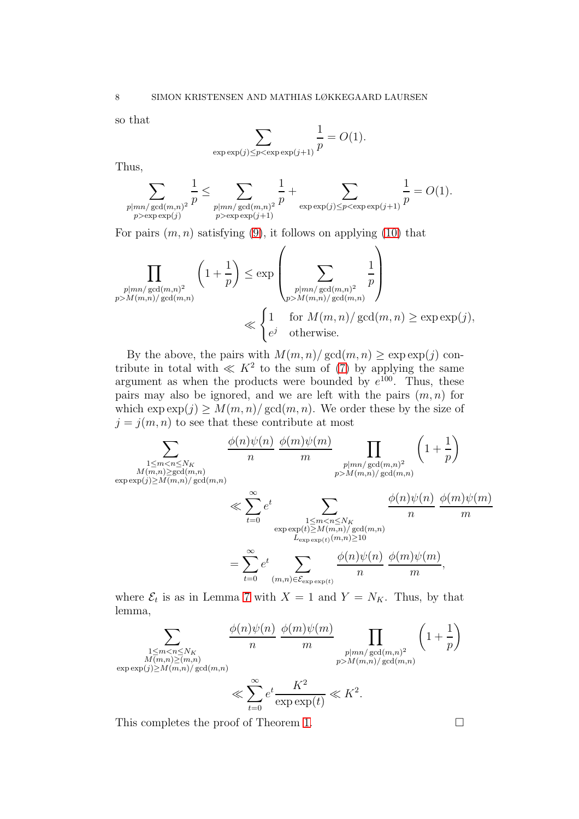so that

$$
\sum_{\exp \exp(j) \le p < \exp \exp(j+1)} \frac{1}{p} = O(1).
$$

Thus,

$$
\sum_{\substack{p \mid mn/gcd(m,n)^2 \\ p > \exp \exp(j)}} \frac{1}{p} \le \sum_{\substack{p \mid mn/gcd(m,n)^2 \\ p > \exp \exp(j+1)}} \frac{1}{p} + \sum_{\exp \exp(j) \le p < \exp \exp(j+1)} \frac{1}{p} = O(1).
$$

For pairs  $(m, n)$  satisfying  $(9)$ , it follows on applying  $(10)$  that

$$
\prod_{\substack{p|mn/\gcd(m,n)^2\\p>M(m,n)/\gcd(m,n)}}\left(1+\frac{1}{p}\right) \leq \exp\left(\sum_{\substack{p|mn/\gcd(m,n)^2\\p>M(m,n)/\gcd(m,n)}}\frac{1}{p}\right)
$$
\n
$$
\ll \begin{cases}\n1 & \text{for } M(m,n)/\gcd(m,n) \geq \exp\exp(j),\\
e^j & \text{otherwise.}\n\end{cases}
$$

By the above, the pairs with  $M(m, n) / \gcd(m, n) \geq \exp \exp(j)$  contribute in total with  $\ll K^2$  to the sum of [\(7\)](#page-5-3) by applying the same argument as when the products were bounded by  $e^{100}$ . Thus, these pairs may also be ignored, and we are left with the pairs  $(m, n)$  for which  $\exp(\chi) \geq M(m,n)/\gcd(m,n)$ . We order these by the size of  $j = j(m, n)$  to see that these contribute at most

$$
\sum_{\substack{M(m,n)\geq \gcd(m,n) \\ \exp\exp(j)\geq M(m,n)/\gcd(m,n)}} \frac{\phi(n)\psi(n)}{n} \frac{\phi(m)\psi(m)}{m} \prod_{\substack{p|mn/\gcd(m,n)^2 \\ p>M(m,n)/\gcd(m,n)}} \left(1+\frac{1}{p}\right)
$$
\n
$$
\ll \sum_{t=0}^{\infty} e^t \sum_{\substack{1\leq m\n
$$
= \sum_{t=0}^{\infty} e^t \sum_{(m,n)\in \mathcal{E}_{\exp\exp(t)}} \frac{\phi(n)\psi(n)}{n} \frac{\phi(m)\psi(m)}{m},
$$
$$

where  $\mathcal{E}_t$  is as in Lemma [7](#page-4-3) with  $X = 1$  and  $Y = N_K$ . Thus, by that lemma,

$$
\sum_{\substack{1 \le m < n \le N_K\\M(m,n) \ge (m,n) \\ \exp\exp(j) \ge M(m,n)/\gcd(m,n)}} \frac{\phi(n)\psi(n)}{n} \frac{\phi(m)\psi(m)}{m} \prod_{\substack{p|mn/\gcd(m,n)^2\\p>M(m,n)/\gcd(m,n)}} \left(1 + \frac{1}{p}\right)
$$
\n
$$
\ll \sum_{t=0}^{\infty} e^t \frac{K^2}{\exp\exp(t)} \ll K^2.
$$

This completes the proof of Theorem [1.](#page-1-0)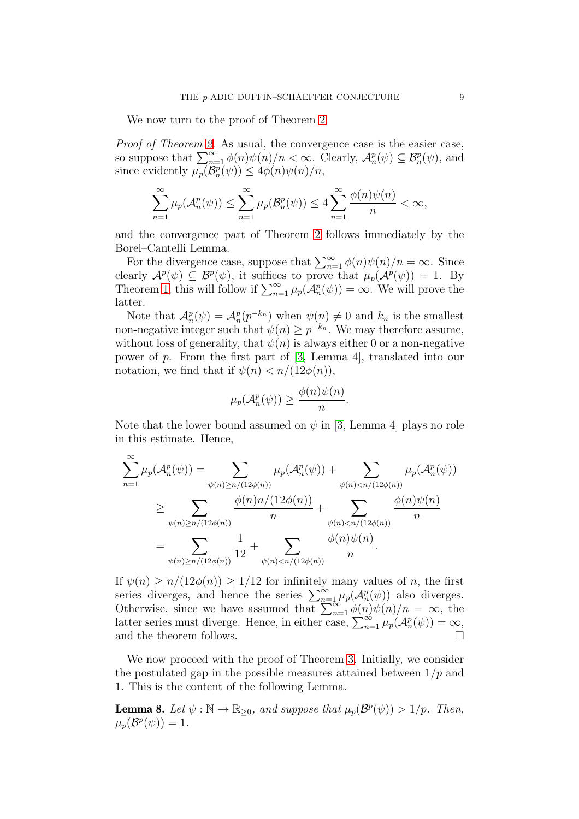We now turn to the proof of Theorem [2.](#page-2-0)

Proof of Theorem [2.](#page-2-0) As usual, the convergence case is the easier case, so suppose that  $\sum_{n=1}^{\infty} \phi(n)\psi(n)/n < \infty$ . Clearly,  $\mathcal{A}_n^p(\psi) \subseteq \mathcal{B}_n^p(\psi)$ , and since evidently  $\mu_p(\mathcal{B}_n^p(\psi)) \leq 4\phi(n)\psi(n)/n$ ,

$$
\sum_{n=1}^{\infty} \mu_p(\mathcal{A}_n^p(\psi)) \le \sum_{n=1}^{\infty} \mu_p(\mathcal{B}_n^p(\psi)) \le 4 \sum_{n=1}^{\infty} \frac{\phi(n)\psi(n)}{n} < \infty,
$$

and the convergence part of Theorem [2](#page-2-0) follows immediately by the Borel–Cantelli Lemma.

For the divergence case, suppose that  $\sum_{n=1}^{\infty} \phi(n)\psi(n)/n = \infty$ . Since clearly  $\mathcal{A}^p(\psi) \subseteq \mathcal{B}^p(\psi)$ , it suffices to prove that  $\mu_p(\mathcal{A}^p(\psi)) = 1$ . By Theorem [1,](#page-1-0) this will follow if  $\sum_{n=1}^{\infty} \mu_p(\mathcal{A}_n^p(\psi)) = \infty$ . We will prove the latter.

Note that  $\mathcal{A}_n^p(\psi) = \mathcal{A}_n^p(p^{-k_n})$  when  $\psi(n) \neq 0$  and  $k_n$  is the smallest non-negative integer such that  $\psi(n) \geq p^{-k_n}$ . We may therefore assume, without loss of generality, that  $\psi(n)$  is always either 0 or a non-negative power of p. From the first part of [\[3,](#page-12-2) Lemma 4], translated into our notation, we find that if  $\psi(n) < n/(12\phi(n)),$ 

$$
\mu_p(\mathcal{A}_n^p(\psi)) \ge \frac{\phi(n)\psi(n)}{n}.
$$

Note that the lower bound assumed on  $\psi$  in [\[3,](#page-12-2) Lemma 4] plays no role in this estimate. Hence,

$$
\sum_{n=1}^{\infty} \mu_p(\mathcal{A}_n^p(\psi)) = \sum_{\psi(n) \ge n/(12\phi(n))} \mu_p(\mathcal{A}_n^p(\psi)) + \sum_{\psi(n) < n/(12\phi(n))} \mu_p(\mathcal{A}_n^p(\psi))
$$
\n
$$
\ge \sum_{\psi(n) \ge n/(12\phi(n))} \frac{\phi(n)n/(12\phi(n))}{n} + \sum_{\psi(n) < n/(12\phi(n))} \frac{\phi(n)\psi(n)}{n}
$$
\n
$$
= \sum_{\psi(n) \ge n/(12\phi(n))} \frac{1}{12} + \sum_{\psi(n) < n/(12\phi(n))} \frac{\phi(n)\psi(n)}{n}.
$$

If  $\psi(n) \geq n/(12\phi(n)) \geq 1/12$  for infinitely many values of n, the first series diverges, and hence the series  $\sum_{n=1}^{\infty} \mu_p(\mathcal{A}_n^p(\psi))$  also diverges. Otherwise, since we have assumed that  $\sum_{n=1}^{\infty} \phi(n)\psi(n)/n = \infty$ , the latter series must diverge. Hence, in either case,  $\sum_{n=1}^{\infty} \mu_p(\mathcal{A}_n^p(\psi)) = \infty$ , and the theorem follows.  $\Box$ 

We now proceed with the proof of Theorem [3.](#page-3-1) Initially, we consider the postulated gap in the possible measures attained between  $1/p$  and 1. This is the content of the following Lemma.

<span id="page-8-0"></span>**Lemma 8.** Let  $\psi : \mathbb{N} \to \mathbb{R}_{\geq 0}$ , and suppose that  $\mu_p(\mathcal{B}^p(\psi)) > 1/p$ . Then,  $\mu_p(\mathcal{B}^p(\psi))=1.$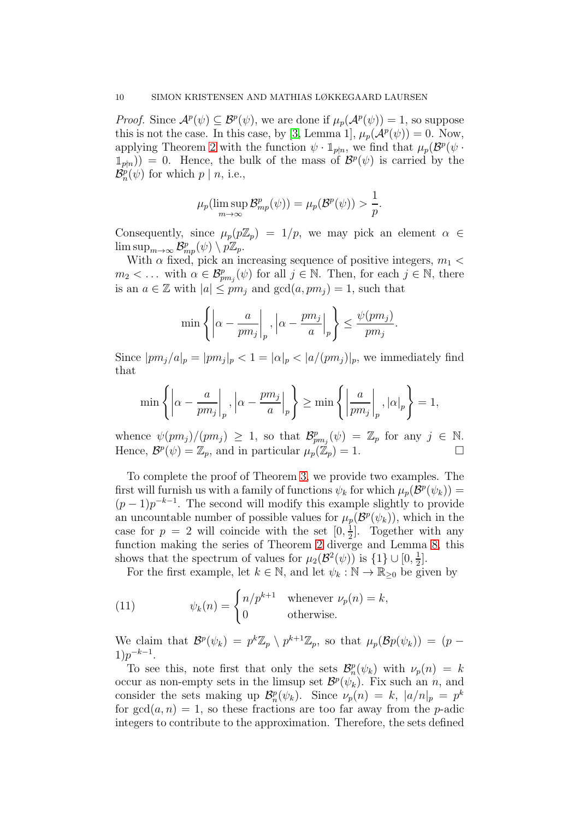*Proof.* Since  $\mathcal{A}^p(\psi) \subseteq \mathcal{B}^p(\psi)$ , we are done if  $\mu_p(\mathcal{A}^p(\psi)) = 1$ , so suppose this is not the case. In this case, by [\[3,](#page-12-2) Lemma 1],  $\mu_p(\mathcal{A}^p(\psi)) = 0$ . Now, applying Theorem [2](#page-2-0) with the function  $\psi \cdot \mathbb{1}_{p \nmid n}$ , we find that  $\mu_p(\mathcal{B}^p(\psi \cdot))$  $\mathbb{1}_{p|n}$ ) = 0. Hence, the bulk of the mass of  $\mathcal{B}^p(\psi)$  is carried by the  $\mathcal{B}_{n}^{p}(\psi)$  for which  $p \mid n$ , i.e.,

$$
\mu_p(\limsup_{m\to\infty}\mathcal{B}_{mp}^p(\psi))=\mu_p(\mathcal{B}^p(\psi))>\frac{1}{p}.
$$

Consequently, since  $\mu_p(p\mathbb{Z}_p) = 1/p$ , we may pick an element  $\alpha \in$  $\limsup_{m\to\infty}\mathcal{B}^p_{mp}(\psi)\setminus p\mathbb{Z}_p.$ 

With  $\alpha$  fixed, pick an increasing sequence of positive integers,  $m_1$  <  $m_2 < \dots$  with  $\alpha \in \mathcal{B}_{pm_j}^p(\psi)$  for all  $j \in \mathbb{N}$ . Then, for each  $j \in \mathbb{N}$ , there is an  $a \in \mathbb{Z}$  with  $|a| \leq pm_j$  and  $gcd(a, pm_j) = 1$ , such that

$$
\min\left\{\left|\alpha - \frac{a}{pm_j}\right|_p, \left|\alpha - \frac{pm_j}{a}\right|_p\right\} \le \frac{\psi (pm_j)}{pm_j}
$$

.

Since  $|pm_j/a|_p = |pm_j|_p < 1 = |\alpha|_p < |a/(pm_j)|_p$ , we immediately find that

$$
\min\left\{\left|\alpha-\frac{a}{pm_j}\right|_p, \left|\alpha-\frac{pm_j}{a}\right|_p\right\} \ge \min\left\{\left|\frac{a}{pm_j}\right|_p, |\alpha|_p\right\} = 1,
$$

whence  $\psi(pm_j)/(pm_j) \geq 1$ , so that  $\mathcal{B}_{pm_j}^p(\psi) = \mathbb{Z}_p$  for any  $j \in \mathbb{N}$ . Hence,  $\mathcal{B}^p(\psi) = \mathbb{Z}_p$ , and in particular  $\mu_p(\mathbb{Z}_p) = 1$ .

To complete the proof of Theorem [3,](#page-3-1) we provide two examples. The first will furnish us with a family of functions  $\psi_k$  for which  $\mu_p(\mathcal{B}^p(\psi_k)) =$  $(p-1)p^{-k-1}$ . The second will modify this example slightly to provide an uncountable number of possible values for  $\mu_p(\mathcal{B}^p(\psi_k))$ , which in the case for  $p = 2$  will coincide with the set  $[0, \frac{1}{2}]$  $\frac{1}{2}$ . Together with any function making the series of Theorem [2](#page-2-0) diverge and Lemma [8,](#page-8-0) this shows that the spectrum of values for  $\mu_2(\mathcal{B}^2(\psi))$  is  $\{1\} \cup [0, \frac{1}{2}]$  $\frac{1}{2}$ .

<span id="page-9-0"></span>For the first example, let  $k \in \mathbb{N}$ , and let  $\psi_k : \mathbb{N} \to \mathbb{R}_{\geq 0}$  be given by

(11) 
$$
\psi_k(n) = \begin{cases} n/p^{k+1} & \text{whenever } \nu_p(n) = k, \\ 0 & \text{otherwise.} \end{cases}
$$

We claim that  $\mathcal{B}^p(\psi_k) = p^k \mathbb{Z}_p \setminus p^{k+1} \mathbb{Z}_p$ , so that  $\mu_p(\mathcal{B}p(\psi_k)) = (p 1)p^{-k-1}.$ 

To see this, note first that only the sets  $\mathcal{B}_n^p(\psi_k)$  with  $\nu_p(n) = k$ occur as non-empty sets in the limsup set  $\mathcal{B}^p(\psi_k)$ . Fix such an n, and consider the sets making up  $\mathcal{B}_n^p(\psi_k)$ . Since  $\nu_p(n) = k$ ,  $|a/n|_p = p^k$ for  $gcd(a, n) = 1$ , so these fractions are too far away from the *p*-adic integers to contribute to the approximation. Therefore, the sets defined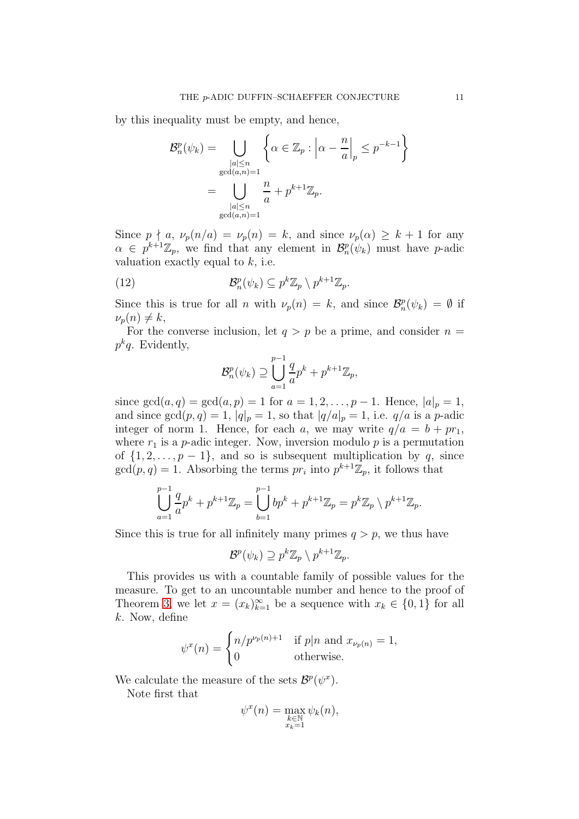by this inequality must be empty, and hence,

$$
\mathcal{B}_n^p(\psi_k) = \bigcup_{\substack{|a| \le n \\ \gcd(a,n)=1}} \left\{ \alpha \in \mathbb{Z}_p : \left| \alpha - \frac{n}{a} \right|_p \le p^{-k-1} \right\}
$$

$$
= \bigcup_{\substack{|a| \le n \\ \gcd(a,n)=1}} \frac{n}{a} + p^{k+1} \mathbb{Z}_p.
$$

Since  $p \nmid a$ ,  $\nu_p(n/a) = \nu_p(n) = k$ , and since  $\nu_p(\alpha) \geq k+1$  for any  $\alpha \in p^{k+1}\mathbb{Z}_p$ , we find that any element in  $\mathcal{B}_n^p(\psi_k)$  must have p-adic valuation exactly equal to  $k$ , i.e.

(12) 
$$
\mathcal{B}_n^p(\psi_k) \subseteq p^k \mathbb{Z}_p \setminus p^{k+1} \mathbb{Z}_p.
$$

Since this is true for all *n* with  $\nu_p(n) = k$ , and since  $\mathcal{B}_n^p(\psi_k) = \emptyset$  if  $\nu_p(n) \neq k,$ 

For the converse inclusion, let  $q > p$  be a prime, and consider  $n =$  $p^k q$ . Evidently,

<span id="page-10-0"></span>
$$
\mathcal{B}_{n}^{p}(\psi_{k}) \supseteq \bigcup_{a=1}^{p-1} \frac{q}{a} p^{k} + p^{k+1} \mathbb{Z}_{p},
$$

since  $gcd(a, q) = gcd(a, p) = 1$  for  $a = 1, 2, ..., p - 1$ . Hence,  $|a|_p = 1$ , and since  $gcd(p, q) = 1$ ,  $|q|_p = 1$ , so that  $|q/a|_p = 1$ , i.e.  $q/a$  is a p-adic integer of norm 1. Hence, for each a, we may write  $q/a = b + pr_1$ , where  $r_1$  is a p-adic integer. Now, inversion modulo p is a permutation of  $\{1, 2, \ldots, p-1\}$ , and so is subsequent multiplication by q, since  $gcd(p, q) = 1$ . Absorbing the terms  $pr_i$  into  $p^{k+1}\mathbb{Z}_p$ , it follows that

$$
\bigcup_{a=1}^{p-1} \frac{q}{a} p^k + p^{k+1} \mathbb{Z}_p = \bigcup_{b=1}^{p-1} bp^k + p^{k+1} \mathbb{Z}_p = p^k \mathbb{Z}_p \setminus p^{k+1} \mathbb{Z}_p.
$$

Since this is true for all infinitely many primes  $q > p$ , we thus have

$$
\mathcal{B}^p(\psi_k) \supseteq p^k \mathbb{Z}_p \setminus p^{k+1} \mathbb{Z}_p.
$$

This provides us with a countable family of possible values for the measure. To get to an uncountable number and hence to the proof of Theorem [3,](#page-3-1) we let  $x = (x_k)_{k=1}^{\infty}$  be a sequence with  $x_k \in \{0, 1\}$  for all k. Now, define

$$
\psi^x(n) = \begin{cases} n/p^{\nu_p(n)+1} & \text{if } p|n \text{ and } x_{\nu_p(n)} = 1, \\ 0 & \text{otherwise.} \end{cases}
$$

We calculate the measure of the sets  $\mathcal{B}^p(\psi^x)$ .

Note first that

$$
\psi^x(n) = \max_{\substack{k \in \mathbb{N} \\ x_k = 1}} \psi_k(n),
$$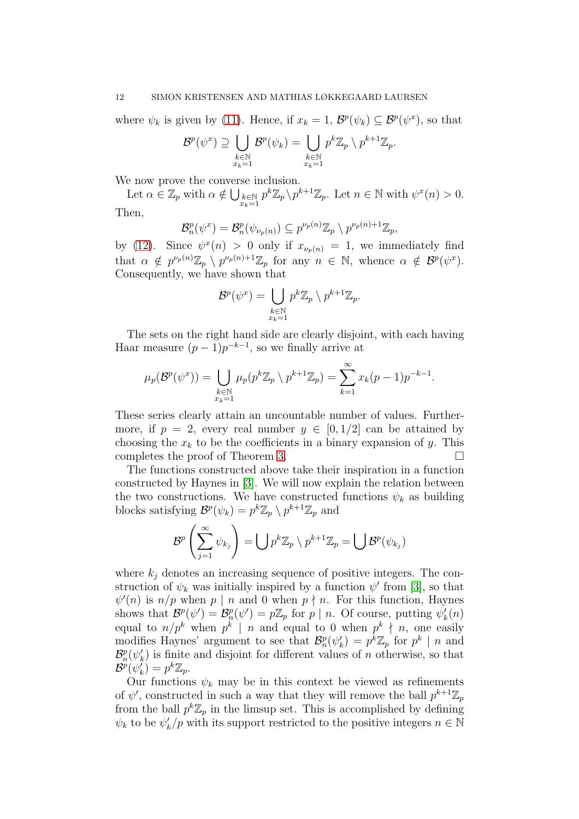where  $\psi_k$  is given by [\(11\)](#page-9-0). Hence, if  $x_k = 1$ ,  $\mathcal{B}^p(\psi_k) \subseteq \mathcal{B}^p(\psi^x)$ , so that

$$
\mathcal{B}^p(\psi^x) \supseteq \bigcup_{\substack{k \in \mathbb{N} \\ x_k = 1}} \mathcal{B}^p(\psi_k) = \bigcup_{\substack{k \in \mathbb{N} \\ x_k = 1}} p^k \mathbb{Z}_p \setminus p^{k+1} \mathbb{Z}_p.
$$

We now prove the converse inclusion.

Let  $\alpha \in \mathbb{Z}_p$  with  $\alpha \notin \bigcup_{\substack{k \in \mathbb{N} \\ x_k = 1}} p^k \mathbb{Z}_p \setminus p^{k+1} \mathbb{Z}_p$ . Let  $n \in \mathbb{N}$  with  $\psi^x(n) > 0$ .

Then,

$$
\mathcal{B}_n^p(\psi^x) = \mathcal{B}_n^p(\psi_{\nu_p(n)}) \subseteq p^{\nu_p(n)}\mathbb{Z}_p \setminus p^{\nu_p(n)+1}\mathbb{Z}_p,
$$

by [\(12\)](#page-10-0). Since  $\psi^x(n) > 0$  only if  $x_{\nu_p(n)} = 1$ , we immediately find that  $\alpha \notin p^{\nu_p(n)}\mathbb{Z}_p \setminus p^{\nu_p(n)+1}\mathbb{Z}_p$  for any  $n \in \mathbb{N}$ , whence  $\alpha \notin \mathcal{B}^p(\psi^x)$ . Consequently, we have shown that

$$
\mathcal{B}^p(\psi^x) = \bigcup_{\substack{k \in \mathbb{N} \\ x_k = 1}} p^k \mathbb{Z}_p \setminus p^{k+1} \mathbb{Z}_p.
$$

The sets on the right hand side are clearly disjoint, with each having Haar measure  $(p-1)p^{-k-1}$ , so we finally arrive at

$$
\mu_p(\mathcal{B}^p(\psi^x)) = \bigcup_{\substack{k \in \mathbb{N} \\ x_k = 1}} \mu_p(p^k \mathbb{Z}_p \setminus p^{k+1} \mathbb{Z}_p) = \sum_{k=1}^{\infty} x_k(p-1)p^{-k-1}.
$$

These series clearly attain an uncountable number of values. Furthermore, if  $p = 2$ , every real number  $y \in [0, 1/2]$  can be attained by choosing the  $x_k$  to be the coefficients in a binary expansion of y. This completes the proof of Theorem [3.](#page-3-1)

The functions constructed above take their inspiration in a function constructed by Haynes in [\[3\]](#page-12-2). We will now explain the relation between the two constructions. We have constructed functions  $\psi_k$  as building blocks satisfying  $\mathcal{B}^p(\psi_k) = p^k \mathbb{Z}_p \setminus p^{k+1} \mathbb{Z}_p$  and

$$
\mathcal{B}^p\left(\sum_{j=1}^{\infty}\psi_{k_j}\right)=\bigcup p^k\mathbb{Z}_p\setminus p^{k+1}\mathbb{Z}_p=\bigcup\mathcal{B}^p(\psi_{k_j})
$$

where  $k_i$  denotes an increasing sequence of positive integers. The construction of  $\psi_k$  was initially inspired by a function  $\psi'$  from [\[3\]](#page-12-2), so that  $\psi'(n)$  is  $n/p$  when p | n and 0 when p | n. For this function, Haynes shows that  $\mathcal{B}_p^p(\psi') = \mathcal{B}_p^p(\psi') = p\mathbb{Z}_p$  for  $p | n$ . Of course, putting  $\psi'_k(n)$ equal to  $n/p^k$  when  $p^k \mid n$  and equal to 0 when  $p^k \nmid n$ , one easily modifies Haynes' argument to see that  $\mathcal{B}_n^p(\psi'_k) = p^k \mathbb{Z}_p$  for  $p^k \mid n$  and  $\mathcal{B}_{n}^{p}(\psi_{k}')$  is finite and disjoint for different values of n otherwise, so that  $\mathcal{B}^p(\psi_k') = p^k \mathbb{Z}_p.$ 

Our functions  $\psi_k$  may be in this context be viewed as refinements of  $\psi'$ , constructed in such a way that they will remove the ball  $p^{k+1}\mathbb{Z}_p$ from the ball  $p^k \mathbb{Z}_p$  in the limsup set. This is accomplished by defining  $\psi_k$  to be  $\psi'_k/p$  with its support restricted to the positive integers  $n \in \mathbb{N}$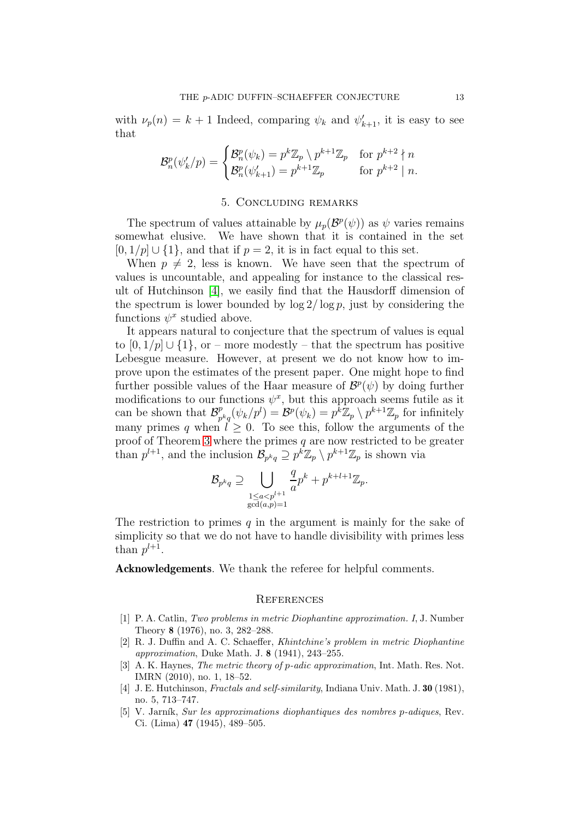with  $\nu_p(n) = k+1$  Indeed, comparing  $\psi_k$  and  $\psi'_{k+1}$ , it is easy to see that

$$
\mathcal{B}_n^p(\psi_k'/p) = \begin{cases} \mathcal{B}_n^p(\psi_k) = p^k \mathbb{Z}_p \setminus p^{k+1} \mathbb{Z}_p & \text{for } p^{k+2} \nmid n \\ \mathcal{B}_n^p(\psi_{k+1}') = p^{k+1} \mathbb{Z}_p & \text{for } p^{k+2} \mid n. \end{cases}
$$

## 5. Concluding remarks

The spectrum of values attainable by  $\mu_p(\mathcal{B}^p(\psi))$  as  $\psi$  varies remains somewhat elusive. We have shown that it is contained in the set  $[0, 1/p] \cup \{1\}$ , and that if  $p = 2$ , it is in fact equal to this set.

When  $p \neq 2$ , less is known. We have seen that the spectrum of values is uncountable, and appealing for instance to the classical result of Hutchinson [\[4\]](#page-12-4), we easily find that the Hausdorff dimension of the spectrum is lower bounded by  $\log 2/\log p$ , just by considering the functions  $\psi^x$  studied above.

It appears natural to conjecture that the spectrum of values is equal to  $[0, 1/p]$   $\cup$   $\{1\}$ , or – more modestly – that the spectrum has positive Lebesgue measure. However, at present we do not know how to improve upon the estimates of the present paper. One might hope to find further possible values of the Haar measure of  $\mathcal{B}^p(\psi)$  by doing further modifications to our functions  $\psi^x$ , but this approach seems futile as it can be shown that  $\mathcal{B}_n^p$  $p_{p^kq}^p(\psi_k/p^l) = \mathcal{B}^p(\psi_k) = p^k \mathbb{Z}_p \setminus p^{k+1} \mathbb{Z}_p$  for infinitely many primes q when  $l \geq 0$ . To see this, follow the arguments of the proof of Theorem [3](#page-3-1) where the primes  $q$  are now restricted to be greater than  $p^{l+1}$ , and the inclusion  $\mathcal{B}_{p^kq} \supseteq p^k \mathbb{Z}_p \setminus p^{k+1} \mathbb{Z}_p$  is shown via

$$
\mathcal{B}_{p^k q} \supseteq \bigcup_{\substack{1 \le a < p^{l+1} \\ \gcd(a,p)=1}} \frac{q}{a} p^k + p^{k+l+1} \mathbb{Z}_p.
$$

The restriction to primes q in the argument is mainly for the sake of simplicity so that we do not have to handle divisibility with primes less than  $p^{l+1}$ .

Acknowledgements. We thank the referee for helpful comments.

#### **REFERENCES**

- <span id="page-12-1"></span>[1] P. A. Catlin, Two problems in metric Diophantine approximation. I, J. Number Theory 8 (1976), no. 3, 282–288.
- <span id="page-12-0"></span>[2] R. J. Duffin and A. C. Schaeffer, Khintchine's problem in metric Diophantine approximation, Duke Math. J. 8 (1941), 243–255.
- <span id="page-12-2"></span>[3] A. K. Haynes, *The metric theory of p-adic approximation*, Int. Math. Res. Not. IMRN (2010), no. 1, 18–52.
- <span id="page-12-4"></span>[4] J. E. Hutchinson, Fractals and self-similarity, Indiana Univ. Math. J. 30 (1981), no. 5, 713–747.
- <span id="page-12-3"></span>[5] V. Jarník, Sur les approximations diophantiques des nombres p-adiques, Rev. Ci. (Lima) 47 (1945), 489–505.